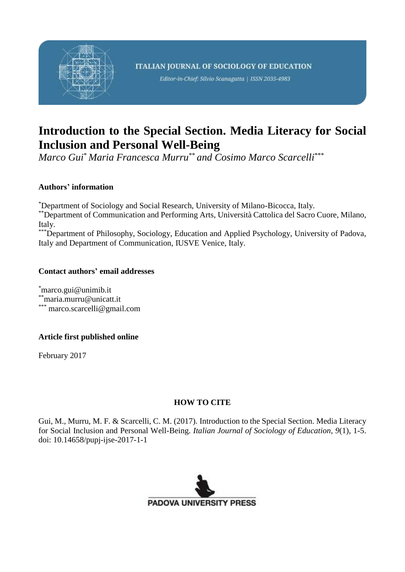

# **Introduction to the Special Section. Media Literacy for Social Inclusion and Personal Well-Being**

*Marco Gui*\* *Maria Francesca Murru*\*\* *and Cosimo Marco Scarcelli*\*\*\*

### **Authors' information**

\*Department of Sociology and Social Research, University of Milano-Bicocca, Italy.

\*\*Department of Communication and Performing Arts, Università Cattolica del Sacro Cuore, Milano, Italy.

\*\*\*Department of Philosophy, Sociology, Education and Applied Psychology, University of Padova, Italy and Department of Communication, IUSVE Venice, Italy.

#### **Contact authors' email addresses**

\*marco.gui@unimib.it \*\*[maria.murru@unicatt.it](mailto:maria.murru@unicatt.it) \*\*\* marco.scarcelli@gmail.com

### **Article first published online**

February 2017

### **HOW TO CITE**

Gui, M., Murru, M. F. & Scarcelli, C. M. (2017). Introduction to the Special Section. Media Literacy for Social Inclusion and Personal Well-Being. *Italian Journal of Sociology of Education*, *9*(1), 1-5. doi: 10.14658/pupj-ijse-2017-1-1

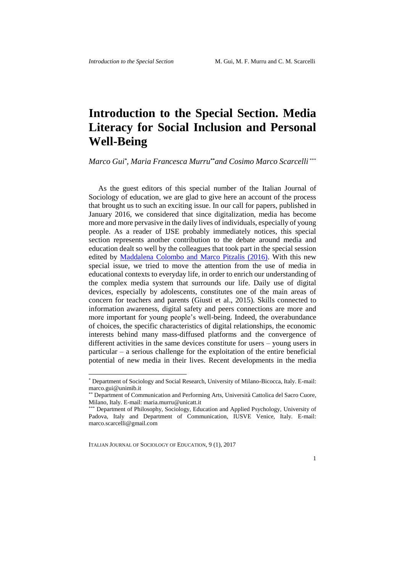## **Introduction to the Special Section. Media Literacy for Social Inclusion and Personal Well-Being**

*Marco Gui\* , Maria Francesca Murru***\*\****and Cosimo Marco Scarcelli* \*\*\*

As the guest editors of this special number of the Italian Journal of Sociology of education, we are glad to give here an account of the process that brought us to such an exciting issue. In our call for papers, published in January 2016, we considered that since digitalization, media has become more and more pervasive in the daily lives of individuals, especially of young people. As a reader of IJSE probably immediately notices, this special section represents another contribution to the debate around media and education dealt so well by the colleagues that took part in the special session edited by [Maddalena Colombo and Marco Pitzalis \(2016\).](http://ijse.padovauniversitypress.it/issue/8/2) With this new special issue, we tried to move the attention from the use of media in educational contexts to everyday life, in order to enrich our understanding of the complex media system that surrounds our life. Daily use of digital devices, especially by adolescents, constitutes one of the main areas of concern for teachers and parents (Giusti et al., 2015). Skills connected to information awareness, digital safety and peers connections are more and more important for young people's well-being. Indeed, the overabundance of choices, the specific characteristics of digital relationships, the economic interests behind many mass-diffused platforms and the convergence of different activities in the same devices constitute for users – young users in particular – a serious challenge for the exploitation of the entire beneficial potential of new media in their lives. Recent developments in the media

ITALIAN JOURNAL OF SOCIOLOGY OF EDUCATION, 9 (1), 2017

<u>.</u>

1

<sup>\*</sup> Department of Sociology and Social Research, University of Milano-Bicocca, Italy. E-mail: marco.gui@unimib.it

<sup>\*\*</sup> Department of Communication and Performing Arts, Università Cattolica del Sacro Cuore, Milano, Italy. E-mail: [maria.murru@unicatt.it](mailto:maria.murru@unicatt.it)

Department of Philosophy, Sociology, Education and Applied Psychology, University of Padova, Italy and Department of Communication, IUSVE Venice, Italy. E-mail: marco.scarcelli@gmail.com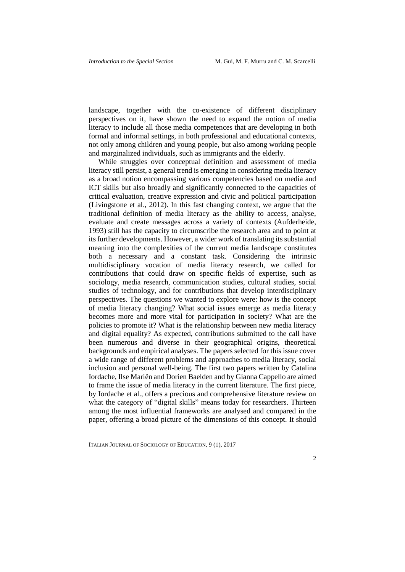landscape, together with the co-existence of different disciplinary perspectives on it, have shown the need to expand the notion of media literacy to include all those media competences that are developing in both formal and informal settings, in both professional and educational contexts, not only among children and young people, but also among working people and marginalized individuals, such as immigrants and the elderly.

While struggles over conceptual definition and assessment of media literacy still persist, a general trend is emerging in considering media literacy as a broad notion encompassing various competencies based on media and ICT skills but also broadly and significantly connected to the capacities of critical evaluation, creative expression and civic and political participation (Livingstone et al., 2012). In this fast changing context, we argue that the traditional definition of media literacy as the ability to access, analyse, evaluate and create messages across a variety of contexts (Aufderheide, 1993) still has the capacity to circumscribe the research area and to point at its further developments. However, a wider work of translating its substantial meaning into the complexities of the current media landscape constitutes both a necessary and a constant task. Considering the intrinsic multidisciplinary vocation of media literacy research, we called for contributions that could draw on specific fields of expertise, such as sociology, media research, communication studies, cultural studies, social studies of technology, and for contributions that develop interdisciplinary perspectives. The questions we wanted to explore were: how is the concept of media literacy changing? What social issues emerge as media literacy becomes more and more vital for participation in society? What are the policies to promote it? What is the relationship between new media literacy and digital equality? As expected, contributions submitted to the call have been numerous and diverse in their geographical origins, theoretical backgrounds and empirical analyses. The papers selected for this issue cover a wide range of different problems and approaches to media literacy, social inclusion and personal well-being. The first two papers written by Catalina Iordache, Ilse Mariën and Dorien Baelden and by Gianna Cappello are aimed to frame the issue of media literacy in the current literature. The first piece, by Iordache et al., offers a precious and comprehensive literature review on what the category of "digital skills" means today for researchers. Thirteen among the most influential frameworks are analysed and compared in the paper, offering a broad picture of the dimensions of this concept. It should

ITALIAN JOURNAL OF SOCIOLOGY OF EDUCATION, 9 (1), 2017

 $\overline{2}$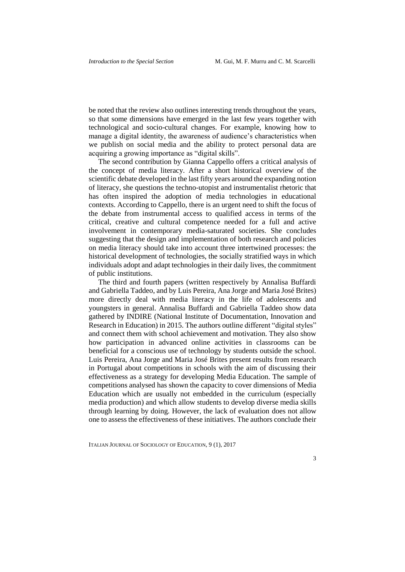be noted that the review also outlines interesting trends throughout the years, so that some dimensions have emerged in the last few years together with technological and socio-cultural changes. For example, knowing how to manage a digital identity, the awareness of audience's characteristics when we publish on social media and the ability to protect personal data are acquiring a growing importance as "digital skills".

The second contribution by Gianna Cappello offers a critical analysis of the concept of media literacy. After a short historical overview of the scientific debate developed in the last fifty years around the expanding notion of literacy, she questions the techno-utopist and instrumentalist rhetoric that has often inspired the adoption of media technologies in educational contexts. According to Cappello, there is an urgent need to shift the focus of the debate from instrumental access to qualified access in terms of the critical, creative and cultural competence needed for a full and active involvement in contemporary media-saturated societies. She concludes suggesting that the design and implementation of both research and policies on media literacy should take into account three intertwined processes: the historical development of technologies, the socially stratified ways in which individuals adopt and adapt technologies in their daily lives, the commitment of public institutions.

The third and fourth papers (written respectively by Annalisa Buffardi and Gabriella Taddeo, and by Luis Pereira, Ana Jorge and Maria José Brites) more directly deal with media literacy in the life of adolescents and youngsters in general. Annalisa Buffardi and Gabriella Taddeo show data gathered by INDIRE (National Institute of Documentation, Innovation and Research in Education) in 2015. The authors outline different "digital styles" and connect them with school achievement and motivation. They also show how participation in advanced online activities in classrooms can be beneficial for a conscious use of technology by students outside the school. Luis Pereira, Ana Jorge and Maria José Brites present results from research in Portugal about competitions in schools with the aim of discussing their effectiveness as a strategy for developing Media Education. The sample of competitions analysed has shown the capacity to cover dimensions of Media Education which are usually not embedded in the curriculum (especially media production) and which allow students to develop diverse media skills through learning by doing. However, the lack of evaluation does not allow one to assess the effectiveness of these initiatives. The authors conclude their

ITALIAN JOURNAL OF SOCIOLOGY OF EDUCATION, 9 (1), 2017

3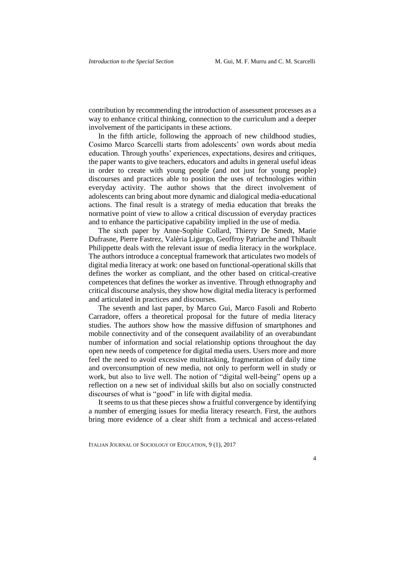contribution by recommending the introduction of assessment processes as a way to enhance critical thinking, connection to the curriculum and a deeper involvement of the participants in these actions.

In the fifth article, following the approach of new childhood studies, Cosimo Marco Scarcelli starts from adolescents' own words about media education. Through youths' experiences, expectations, desires and critiques, the paper wants to give teachers, educators and adults in general useful ideas in order to create with young people (and not just for young people) discourses and practices able to position the uses of technologies within everyday activity. The author shows that the direct involvement of adolescents can bring about more dynamic and dialogical media-educational actions. The final result is a strategy of media education that breaks the normative point of view to allow a critical discussion of everyday practices and to enhance the participative capability implied in the use of media.

The sixth paper by Anne-Sophie Collard, Thierry De Smedt, Marie Dufrasne, Pierre Fastrez, Valèria Ligurgo, Geoffroy Patriarche and Thibault Philippette deals with the relevant issue of media literacy in the workplace. The authors introduce a conceptual framework that articulates two models of digital media literacy at work: one based on functional-operational skills that defines the worker as compliant, and the other based on critical-creative competences that defines the worker as inventive. Through ethnography and critical discourse analysis, they show how digital media literacy is performed and articulated in practices and discourses.

The seventh and last paper, by Marco Gui, Marco Fasoli and Roberto Carradore, offers a theoretical proposal for the future of media literacy studies. The authors show how the massive diffusion of smartphones and mobile connectivity and of the consequent availability of an overabundant number of information and social relationship options throughout the day open new needs of competence for digital media users. Users more and more feel the need to avoid excessive multitasking, fragmentation of daily time and overconsumption of new media, not only to perform well in study or work, but also to live well. The notion of "digital well-being" opens up a reflection on a new set of individual skills but also on socially constructed discourses of what is "good" in life with digital media.

It seems to us that these pieces show a fruitful convergence by identifying a number of emerging issues for media literacy research. First, the authors bring more evidence of a clear shift from a technical and access-related

ITALIAN JOURNAL OF SOCIOLOGY OF EDUCATION, 9 (1), 2017

 $\overline{\mathbf{A}}$